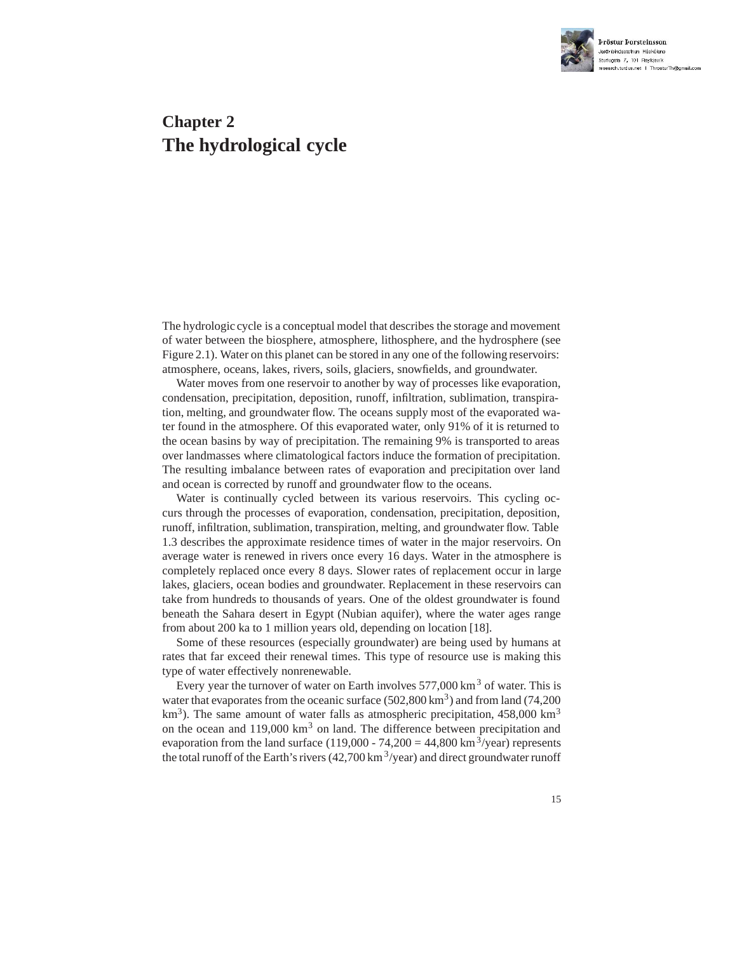

# **Chapter 2 The hydrological cycle**

The hydrologic cycle is a conceptual model that describes the storage and movement of water between the biosphere, atmosphere, lithosphere, and the hydrosphere (see Figure 2.1). Water on this planet can be stored in any one of the following reservoirs: atmosphere, oceans, lakes, rivers, soils, glaciers, snowfields, and groundwater.

Water moves from one reservoir to another by way of processes like evaporation, condensation, precipitation, deposition, runoff, infiltration, sublimation, transpiration, melting, and groundwater flow. The oceans supply most of the evaporated water found in the atmosphere. Of this evaporated water, only 91% of it is returned to the ocean basins by way of precipitation. The remaining 9% is transported to areas over landmasses where climatological factors induce the formation of precipitation. The resulting imbalance between rates of evaporation and precipitation over land and ocean is corrected by runoff and groundwater flow to the oceans.

Water is continually cycled between its various reservoirs. This cycling occurs through the processes of evaporation, condensation, precipitation, deposition, runoff, infiltration, sublimation, transpiration, melting, and groundwater flow. Table 1.3 describes the approximate residence times of water in the major reservoirs. On average water is renewed in rivers once every 16 days. Water in the atmosphere is completely replaced once every 8 days. Slower rates of replacement occur in large lakes, glaciers, ocean bodies and groundwater. Replacement in these reservoirs can take from hundreds to thousands of years. One of the oldest groundwater is found beneath the Sahara desert in Egypt (Nubian aquifer), where the water ages range from about 200 ka to 1 million years old, depending on location [18].

Some of these resources (especially groundwater) are being used by humans at rates that far exceed their renewal times. This type of resource use is making this type of water effectively nonrenewable.

Every year the turnover of water on Earth involves  $577,000 \text{ km}^3$  of water. This is water that evaporates from the oceanic surface  $(502,800 \text{ km}^3)$  and from land  $(74,200$  $km<sup>3</sup>$ ). The same amount of water falls as atmospheric precipitation, 458,000 km<sup>3</sup> on the ocean and  $119,000 \text{ km}^3$  on land. The difference between precipitation and evaporation from the land surface (119,000 - 74,200 = 44,800 km<sup>3</sup>/year) represents the total runoff of the Earth's rivers  $(42,700 \text{ km}^3/\text{year})$  and direct groundwater runoff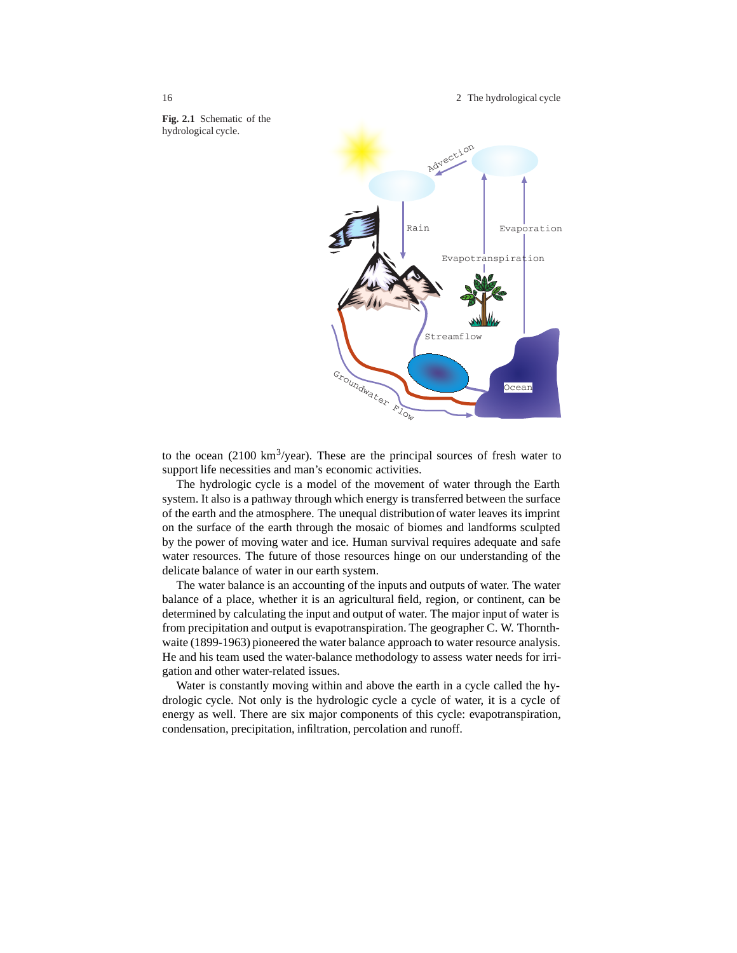16 2 The hydrological cycle

**Fig. 2.1** Schematic of the hydrological cycle.



to the ocean  $(2100 \text{ km}^3/\text{year})$ . These are the principal sources of fresh water to support life necessities and man's economic activities.

The hydrologic cycle is a model of the movement of water through the Earth system. It also is a pathway through which energy is transferred between the surface of the earth and the atmosphere. The unequal distribution of water leaves its imprint on the surface of the earth through the mosaic of biomes and landforms sculpted by the power of moving water and ice. Human survival requires adequate and safe water resources. The future of those resources hinge on our understanding of the delicate balance of water in our earth system.

The water balance is an accounting of the inputs and outputs of water. The water balance of a place, whether it is an agricultural field, region, or continent, can be determined by calculating the input and output of water. The major input of water is from precipitation and output is evapotranspiration. The geographer C. W. Thornthwaite (1899-1963) pioneered the water balance approach to water resource analysis. He and his team used the water-balance methodology to assess water needs for irrigation and other water-related issues.

Water is constantly moving within and above the earth in a cycle called the hydrologic cycle. Not only is the hydrologic cycle a cycle of water, it is a cycle of energy as well. There are six major components of this cycle: evapotranspiration, condensation, precipitation, infiltration, percolation and runoff.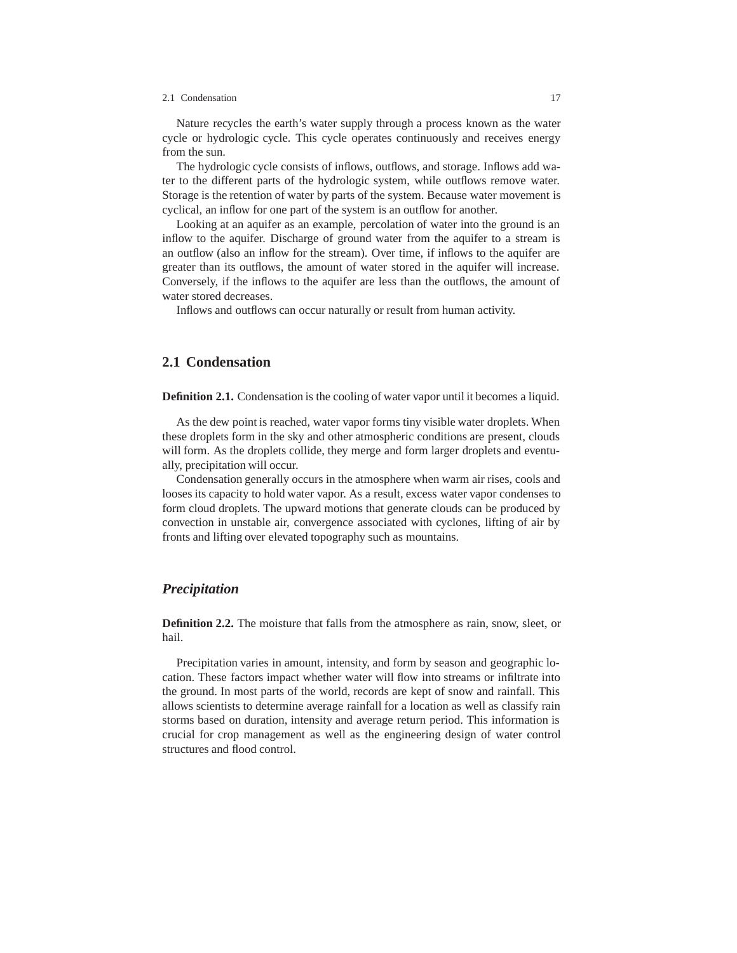#### 2.1 Condensation 17

Nature recycles the earth's water supply through a process known as the water cycle or hydrologic cycle. This cycle operates continuously and receives energy from the sun.

The hydrologic cycle consists of inflows, outflows, and storage. Inflows add water to the different parts of the hydrologic system, while outflows remove water. Storage is the retention of water by parts of the system. Because water movement is cyclical, an inflow for one part of the system is an outflow for another.

Looking at an aquifer as an example, percolation of water into the ground is an inflow to the aquifer. Discharge of ground water from the aquifer to a stream is an outflow (also an inflow for the stream). Over time, if inflows to the aquifer are greater than its outflows, the amount of water stored in the aquifer will increase. Conversely, if the inflows to the aquifer are less than the outflows, the amount of water stored decreases.

Inflows and outflows can occur naturally or result from human activity.

## **2.1 Condensation**

**Definition 2.1.** Condensation is the cooling of water vapor until it becomes a liquid.

As the dew point is reached, water vapor forms tiny visible water droplets. When these droplets form in the sky and other atmospheric conditions are present, clouds will form. As the droplets collide, they merge and form larger droplets and eventually, precipitation will occur.

Condensation generally occurs in the atmosphere when warm air rises, cools and looses its capacity to hold water vapor. As a result, excess water vapor condenses to form cloud droplets. The upward motions that generate clouds can be produced by convection in unstable air, convergence associated with cyclones, lifting of air by fronts and lifting over elevated topography such as mountains.

## *Precipitation*

**Definition 2.2.** The moisture that falls from the atmosphere as rain, snow, sleet, or hail.

Precipitation varies in amount, intensity, and form by season and geographic location. These factors impact whether water will flow into streams or infiltrate into the ground. In most parts of the world, records are kept of snow and rainfall. This allows scientists to determine average rainfall for a location as well as classify rain storms based on duration, intensity and average return period. This information is crucial for crop management as well as the engineering design of water control structures and flood control.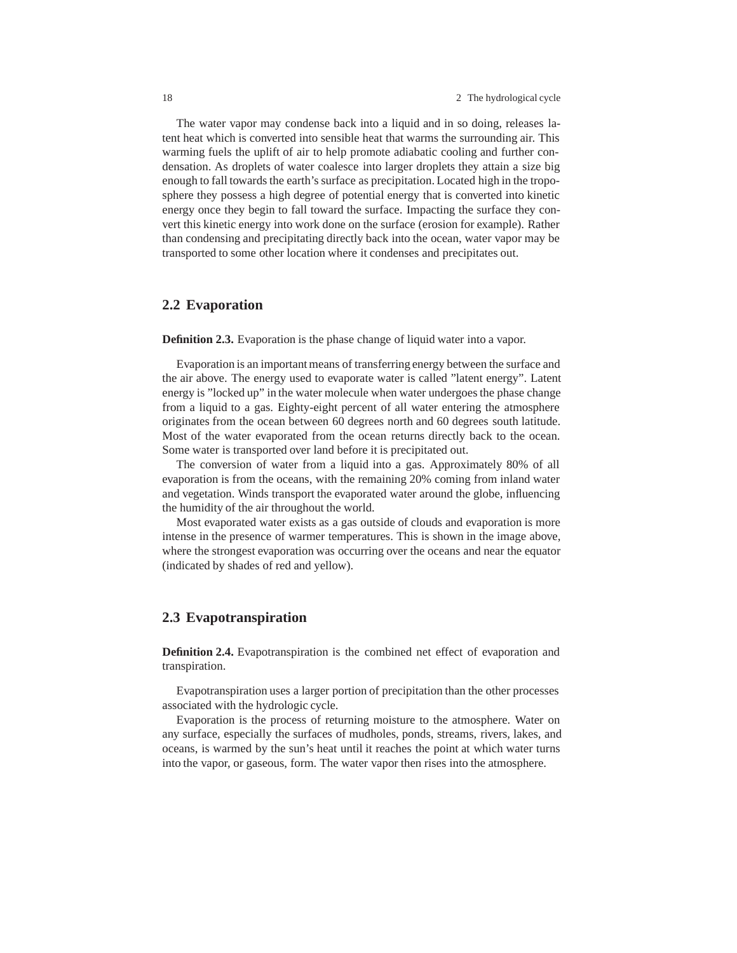The water vapor may condense back into a liquid and in so doing, releases latent heat which is converted into sensible heat that warms the surrounding air. This warming fuels the uplift of air to help promote adiabatic cooling and further condensation. As droplets of water coalesce into larger droplets they attain a size big enough to fall towards the earth's surface as precipitation. Located high in the troposphere they possess a high degree of potential energy that is converted into kinetic energy once they begin to fall toward the surface. Impacting the surface they convert this kinetic energy into work done on the surface (erosion for example). Rather than condensing and precipitating directly back into the ocean, water vapor may be transported to some other location where it condenses and precipitates out.

## **2.2 Evaporation**

**Definition 2.3.** Evaporation is the phase change of liquid water into a vapor.

Evaporation is an important means of transferring energy between the surface and the air above. The energy used to evaporate water is called "latent energy". Latent energy is "locked up" in the water molecule when water undergoes the phase change from a liquid to a gas. Eighty-eight percent of all water entering the atmosphere originates from the ocean between 60 degrees north and 60 degrees south latitude. Most of the water evaporated from the ocean returns directly back to the ocean. Some water is transported over land before it is precipitated out.

The conversion of water from a liquid into a gas. Approximately 80% of all evaporation is from the oceans, with the remaining 20% coming from inland water and vegetation. Winds transport the evaporated water around the globe, influencing the humidity of the air throughout the world.

Most evaporated water exists as a gas outside of clouds and evaporation is more intense in the presence of warmer temperatures. This is shown in the image above, where the strongest evaporation was occurring over the oceans and near the equator (indicated by shades of red and yellow).

## **2.3 Evapotranspiration**

**Definition 2.4.** Evapotranspiration is the combined net effect of evaporation and transpiration.

Evapotranspiration uses a larger portion of precipitation than the other processes associated with the hydrologic cycle.

Evaporation is the process of returning moisture to the atmosphere. Water on any surface, especially the surfaces of mudholes, ponds, streams, rivers, lakes, and oceans, is warmed by the sun's heat until it reaches the point at which water turns into the vapor, or gaseous, form. The water vapor then rises into the atmosphere.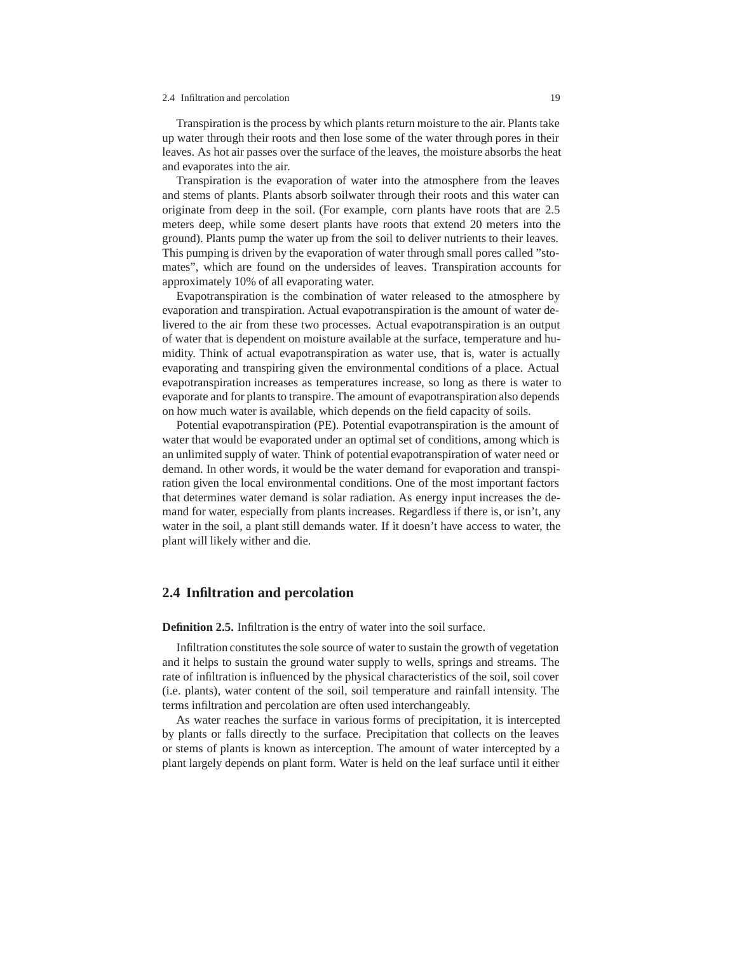#### 2.4 Infiltration and percolation 19

Transpiration is the process by which plants return moisture to the air. Plants take up water through their roots and then lose some of the water through pores in their leaves. As hot air passes over the surface of the leaves, the moisture absorbs the heat and evaporates into the air.

Transpiration is the evaporation of water into the atmosphere from the leaves and stems of plants. Plants absorb soilwater through their roots and this water can originate from deep in the soil. (For example, corn plants have roots that are 2.5 meters deep, while some desert plants have roots that extend 20 meters into the ground). Plants pump the water up from the soil to deliver nutrients to their leaves. This pumping is driven by the evaporation of water through small pores called "stomates", which are found on the undersides of leaves. Transpiration accounts for approximately 10% of all evaporating water.

Evapotranspiration is the combination of water released to the atmosphere by evaporation and transpiration. Actual evapotranspiration is the amount of water delivered to the air from these two processes. Actual evapotranspiration is an output of water that is dependent on moisture available at the surface, temperature and humidity. Think of actual evapotranspiration as water use, that is, water is actually evaporating and transpiring given the environmental conditions of a place. Actual evapotranspiration increases as temperatures increase, so long as there is water to evaporate and for plants to transpire. The amount of evapotranspiration also depends on how much water is available, which depends on the field capacity of soils.

Potential evapotranspiration (PE). Potential evapotranspiration is the amount of water that would be evaporated under an optimal set of conditions, among which is an unlimited supply of water. Think of potential evapotranspiration of water need or demand. In other words, it would be the water demand for evaporation and transpiration given the local environmental conditions. One of the most important factors that determines water demand is solar radiation. As energy input increases the demand for water, especially from plants increases. Regardless if there is, or isn't, any water in the soil, a plant still demands water. If it doesn't have access to water, the plant will likely wither and die.

### **2.4 Infiltration and percolation**

**Definition 2.5.** Infiltration is the entry of water into the soil surface.

Infiltration constitutes the sole source of water to sustain the growth of vegetation and it helps to sustain the ground water supply to wells, springs and streams. The rate of infiltration is influenced by the physical characteristics of the soil, soil cover (i.e. plants), water content of the soil, soil temperature and rainfall intensity. The terms infiltration and percolation are often used interchangeably.

As water reaches the surface in various forms of precipitation, it is intercepted by plants or falls directly to the surface. Precipitation that collects on the leaves or stems of plants is known as interception. The amount of water intercepted by a plant largely depends on plant form. Water is held on the leaf surface until it either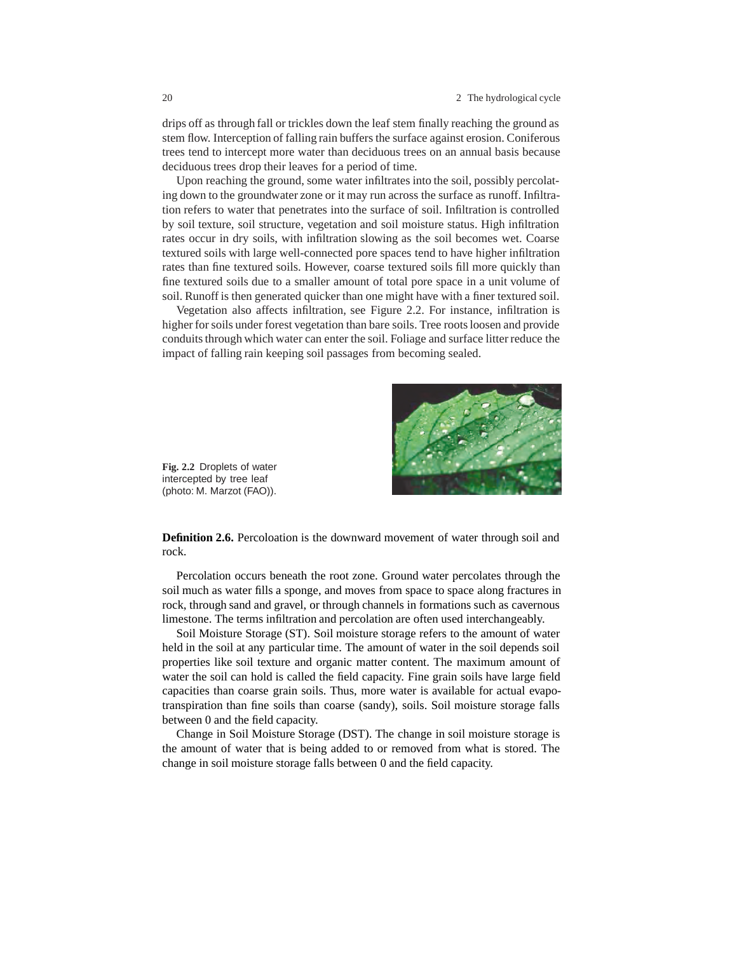drips off as through fall or trickles down the leaf stem finally reaching the ground as stem flow. Interception of falling rain buffers the surface against erosion. Coniferous trees tend to intercept more water than deciduous trees on an annual basis because deciduous trees drop their leaves for a period of time.

Upon reaching the ground, some water infiltrates into the soil, possibly percolating down to the groundwater zone or it may run across the surface as runoff. Infiltration refers to water that penetrates into the surface of soil. Infiltration is controlled by soil texture, soil structure, vegetation and soil moisture status. High infiltration rates occur in dry soils, with infiltration slowing as the soil becomes wet. Coarse textured soils with large well-connected pore spaces tend to have higher infiltration rates than fine textured soils. However, coarse textured soils fill more quickly than fine textured soils due to a smaller amount of total pore space in a unit volume of soil. Runoff is then generated quicker than one might have with a finer textured soil.

Vegetation also affects infiltration, see Figure 2.2. For instance, infiltration is higher for soils under forest vegetation than bare soils. Tree roots loosen and provide conduits through which water can enter the soil. Foliage and surface litter reduce the impact of falling rain keeping soil passages from becoming sealed.



**Fig. 2.2** Droplets of water intercepted by tree leaf (photo: M. Marzot (FAO)).

**Definition 2.6.** Percoloation is the downward movement of water through soil and rock.

Percolation occurs beneath the root zone. Ground water percolates through the soil much as water fills a sponge, and moves from space to space along fractures in rock, through sand and gravel, or through channels in formations such as cavernous limestone. The terms infiltration and percolation are often used interchangeably.

Soil Moisture Storage (ST). Soil moisture storage refers to the amount of water held in the soil at any particular time. The amount of water in the soil depends soil properties like soil texture and organic matter content. The maximum amount of water the soil can hold is called the field capacity. Fine grain soils have large field capacities than coarse grain soils. Thus, more water is available for actual evapotranspiration than fine soils than coarse (sandy), soils. Soil moisture storage falls between 0 and the field capacity.

Change in Soil Moisture Storage (DST). The change in soil moisture storage is the amount of water that is being added to or removed from what is stored. The change in soil moisture storage falls between 0 and the field capacity.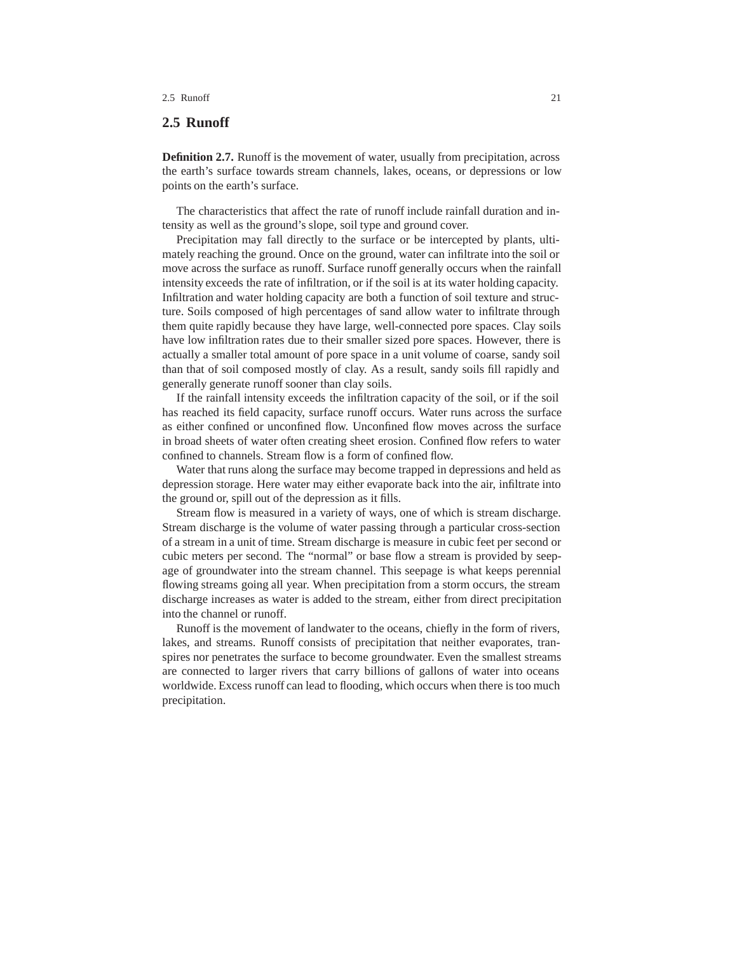#### 2.5 Runoff 21

## **2.5 Runoff**

**Definition 2.7.** Runoff is the movement of water, usually from precipitation, across the earth's surface towards stream channels, lakes, oceans, or depressions or low points on the earth's surface.

The characteristics that affect the rate of runoff include rainfall duration and intensity as well as the ground's slope, soil type and ground cover.

Precipitation may fall directly to the surface or be intercepted by plants, ultimately reaching the ground. Once on the ground, water can infiltrate into the soil or move across the surface as runoff. Surface runoff generally occurs when the rainfall intensity exceeds the rate of infiltration, or if the soil is at its water holding capacity. Infiltration and water holding capacity are both a function of soil texture and structure. Soils composed of high percentages of sand allow water to infiltrate through them quite rapidly because they have large, well-connected pore spaces. Clay soils have low infiltration rates due to their smaller sized pore spaces. However, there is actually a smaller total amount of pore space in a unit volume of coarse, sandy soil than that of soil composed mostly of clay. As a result, sandy soils fill rapidly and generally generate runoff sooner than clay soils.

If the rainfall intensity exceeds the infiltration capacity of the soil, or if the soil has reached its field capacity, surface runoff occurs. Water runs across the surface as either confined or unconfined flow. Unconfined flow moves across the surface in broad sheets of water often creating sheet erosion. Confined flow refers to water confined to channels. Stream flow is a form of confined flow.

Water that runs along the surface may become trapped in depressions and held as depression storage. Here water may either evaporate back into the air, infiltrate into the ground or, spill out of the depression as it fills.

Stream flow is measured in a variety of ways, one of which is stream discharge. Stream discharge is the volume of water passing through a particular cross-section of a stream in a unit of time. Stream discharge is measure in cubic feet per second or cubic meters per second. The "normal" or base flow a stream is provided by seepage of groundwater into the stream channel. This seepage is what keeps perennial flowing streams going all year. When precipitation from a storm occurs, the stream discharge increases as water is added to the stream, either from direct precipitation into the channel or runoff.

Runoff is the movement of landwater to the oceans, chiefly in the form of rivers, lakes, and streams. Runoff consists of precipitation that neither evaporates, transpires nor penetrates the surface to become groundwater. Even the smallest streams are connected to larger rivers that carry billions of gallons of water into oceans worldwide. Excess runoff can lead to flooding, which occurs when there is too much precipitation.